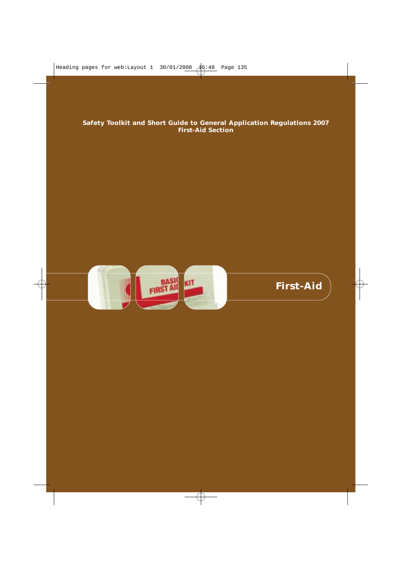#### **Safety Toolkit and Short Guide to General Application Regulations 2007 First-Aid Section**

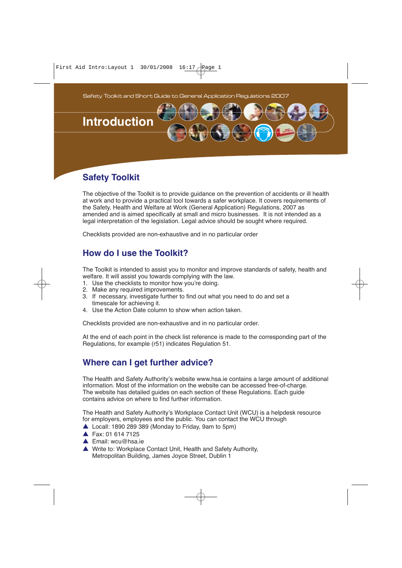Safety Toolkit and Short Guide to General Application Regulations 2007



# **Safety Toolkit**

The objective of the Toolkit is to provide guidance on the prevention of accidents or ill health at work and to provide a practical tool towards a safer workplace. It covers requirements of the Safety, Health and Welfare at Work (General Application) Regulations, 2007 as amended and is aimed specifically at small and micro businesses. It is not intended as a legal interpretation of the legislation. Legal advice should be sought where required.

Checklists provided are non-exhaustive and in no particular order

## **How do I use the Toolkit?**

The Toolkit is intended to assist you to monitor and improve standards of safety, health and welfare. It will assist you towards complying with the law.

- 1. Use the checklists to monitor how you're doing.
- 2. Make any required improvements.
- 3. If necessary, investigate further to find out what you need to do and set a timescale for achieving it.
- 4. Use the Action Date column to show when action taken.

Checklists provided are non-exhaustive and in no particular order.

At the end of each point in the check list reference is made to the corresponding part of the Regulations, for example (r51) indicates Regulation 51.

### **Where can I get further advice?**

The Health and Safety Authority's website www.hsa.ie contains a large amount of additional information. Most of the information on the website can be accessed free-of-charge. The website has detailed guides on each section of these Regulations. Each guide contains advice on where to find further information.

The Health and Safety Authority's Workplace Contact Unit (WCU) is a helpdesk resource for employers, employees and the public. You can contact the WCU through

- ▲ Locall: 1890 289 389 (Monday to Friday, 9am to 5pm)
- ▲ Fax: 01 614 7125
- ▲ Email: wcu@hsa.ie
- ▲ Write to: Workplace Contact Unit, Health and Safety Authority, Metropolitan Building, James Joyce Street, Dublin 1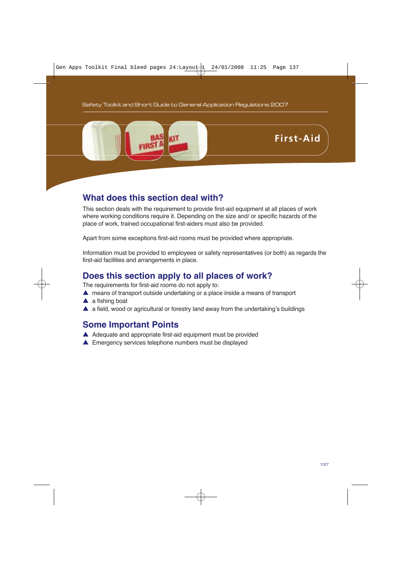

## **What does this section deal with?**

This section deals with the requirement to provide first-aid equipment at all places of work where working conditions require it. Depending on the size and/ or specific hazards of the place of work, trained occupational first-aiders must also be provided.

Apart from some exceptions first-aid rooms must be provided where appropriate.

Information must be provided to employees or safety representatives (or both) as regards the first-aid facilities and arrangements in place.

#### **Does this section apply to all places of work?**

The requirements for first-aid rooms do not apply to:

- ▲ means of transport outside undertaking or a place inside a means of transport
- $\triangle$  a fishing boat
- $\blacktriangle$  a field, wood or agricultural or forestry land away from the undertaking's buildings

#### **Some Important Points**

- ▲ Adequate and appropriate first-aid equipment must be provided
- ▲ Emergency services telephone numbers must be displayed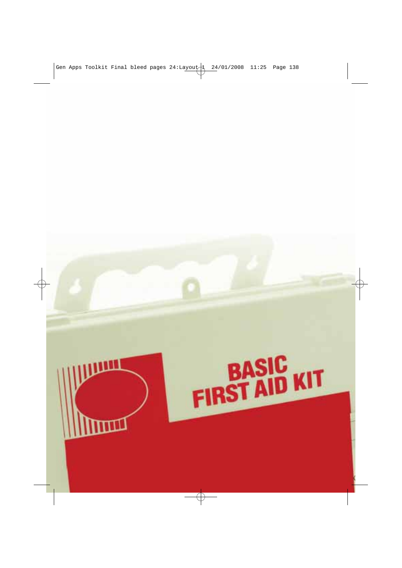